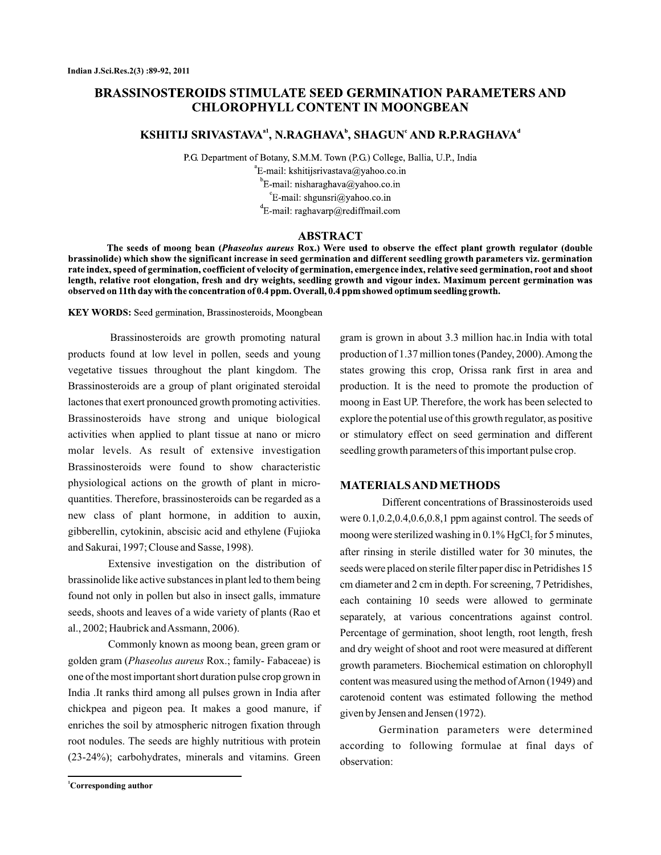# **BRASSINOSTEROIDS STIMULATE SEED GERMINATION PARAMETERS AND CHLOROPHYLL CONTENT IN MOONGBEAN**

## KSHITIJ SRIVASTAVA<sup>a1</sup>, N.RAGHAVA<sup>b</sup>, SHAGUN<sup>e</sup> AND R.P.RAGHAVA<sup>d</sup>

P.G. Department of Botany, S.M.M. Town (P.G.) College, Ballia, U.P., India  ${}^{\circ}$ E-mail: kshitijsrivastava@yahoo.co.in <sup>b</sup>E-mail: nisharaghava@yahoo.co.in  ${}^{\circ}$ E-mail: shgunsri@yahoo.co.in  ${}^dE$ -mail: raghavarp@rediffmail.com

## **ABSTRACT**

The seeds of moong bean (Phaseolus aureus Rox.) Were used to observe the effect plant growth regulator (double brassinolide) which show the significant increase in seed germination and different seedling growth parameters viz. germination rate index, speed of germination, coefficient of velocity of germination, emergence index, relative seed germination, root and shoot length, relative root elongation, fresh and dry weights, seedling growth and vigour index. Maximum percent germination was observed on 11th day with the concentration of 0.4 ppm. Overall, 0.4 ppm showed optimum seedling growth.

KEY WORDS: Seed germination, Brassinosteroids, Moongbean

Brassinosteroids are growth promoting natural products found at low level in pollen, seeds and young vegetative tissues throughout the plant kingdom. The Brassinosteroids are a group of plant originated steroidal lactones that exert pronounced growth promoting activities. Brassinosteroids have strong and unique biological activities when applied to plant tissue at nano or micro molar levels. As result of extensive investigation Brassinosteroids were found to show characteristic physiological actions on the growth of plant in microquantities. Therefore, brassinosteroids can be regarded as a new class of plant hormone, in addition to auxin, gibberellin, cytokinin, abscisic acid and ethylene (Fujioka and Sakurai, 1997; Clouse and Sasse, 1998).

Extensive investigation on the distribution of brassinolide like active substances in plant led to them being found not only in pollen but also in insect galls, immature seeds, shoots and leaves of a wide variety of plants (Rao et al., 2002; Haubrick andAssmann, 2006).

Commonly known as moong bean, green gram or golden gram (Phaseolus aureus Rox.; family- Fabaceae) is one of the most important short duration pulse crop grown in India .It ranks third among all pulses grown in India after chickpea and pigeon pea. It makes a good manure, if enriches the soil by atmospheric nitrogen fixation through root nodules. The seeds are highly nutritious with protein (23-24%); carbohydrates, minerals and vitamins. Green

gram is grown in about 3.3 million hac.in India with total production of 1.37 million tones (Pandey, 2000).Among the states growing this crop, Orissa rank first in area and production. It is the need to promote the production of moong in East UP. Therefore, the work has been selected to explore the potential use of this growth regulator, as positive or stimulatory effect on seed germination and different seedling growth parameters of this important pulse crop.

#### **MATERIALSAND METHODS**

Different concentrations of Brassinosteroids used were 0.1,0.2,0.4,0.6,0.8,1 ppm against control. The seeds of moong were sterilized washing in  $0.1\%$  HgCl $_2$  for 5 minutes, after rinsing in sterile distilled water for 30 minutes, the seeds were placed on sterile filter paper disc in Petridishes 15 cm diameter and 2 cm in depth. For screening, 7 Petridishes, each containing 10 seeds were allowed to germinate separately, at various concentrations against control. Percentage of germination, shoot length, root length, fresh and dry weight of shoot and root were measured at different growth parameters. Biochemical estimation on chlorophyll content was measured using the method ofArnon (1949) and carotenoid content was estimated following the method given by Jensen and Jensen (1972).

Germination parameters were determined according to following formulae at final days of observation: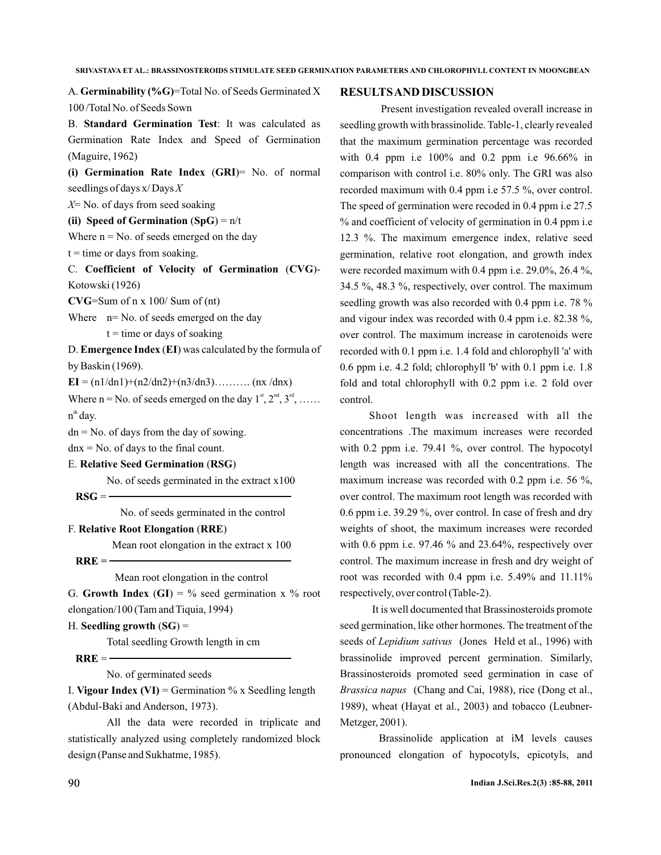A. Germinability (%G)=Total No. of Seeds Germinated X 100 /Total No. of Seeds Sown

B. Standard Germination Test: It was calculated as Germination Rate Index and Speed of Germination (Maguire, 1962)

(i) Germination Rate Index (GRI)= No. of normal seedlings of days x/ Days *X*

X<sup>=</sup> No. of days from seed soaking

(ii) Speed of Germination  $(SpG) = n/t$ 

Where  $n = No$ . of seeds emerged on the day

 $t =$  time or days from soaking.

C. Coefficient of Velocity of Germination (CVG)-Kotowski (1926)

=Sum of n x 100/ Sum of (nt) **CVG**

Where  $n = No$ . of seeds emerged on the day  $t =$  time or days of soaking

D. **Emergence Index** (EI) was calculated by the formula of by Baskin (1969).

 $EI = (n1/dn1)+(n2/dn2)+(n3/dn3)....$  (nx /dnx)

Where  $n = No$ . of seeds emerged on the day  $1^{st}$ ,  $2^{nd}$ ,  $3^{rd}$ , ...... n<sup>th</sup> day.

 $dn = No$ . of days from the day of sowing.

 $dnx = No$ . of days to the final count.

**E. Relative Seed Germination (RSG)** 

No. of seeds germinated in the extract x100

 $\bf RSG = -$ 

No. of seeds germinated in the control

**F. Relative Root Elongation (RRE)** 

Mean root elongation in the extract x 100

 $RRE = -$ 

Mean root elongation in the control

G. Growth Index  $(GI) = \%$  seed germination x  $%$  root elongation/100 (Tam and Tiquia, 1994)

#### H. Seedling growth (SG) =

Total seedling Growth length in cm

 $RRE = -$ 

No. of germinated seeds

I. Vigour Index (VI) = Germination  $\%$  x Seedling length (Abdul-Baki and Anderson, 1973).

All the data were recorded in triplicate and statistically analyzed using completely randomized block design (Panse and Sukhatme, 1985).

#### **RESULTSAND DISCUSSION**

Present investigation revealed overall increase in seedling growth with brassinolide. Table-1, clearly revealed that the maximum germination percentage was recorded with 0.4 ppm i.e 100% and 0.2 ppm i.e 96.66% in comparison with control i.e. 80% only. The GRI was also recorded maximum with 0.4 ppm i.e 57.5 %, over control. The speed of germination were recoded in 0.4 ppm i.e 27.5 % and coefficient of velocity of germination in 0.4 ppm i.e 12.3 %. The maximum emergence index, relative seed germination, relative root elongation, and growth index were recorded maximum with 0.4 ppm i.e. 29.0%, 26.4 %, 34.5 %, 48.3 %, respectively, over control. The maximum seedling growth was also recorded with 0.4 ppm i.e. 78 % and vigour index was recorded with 0.4 ppm i.e. 82.38 %, over control. The maximum increase in carotenoids were recorded with 0.1 ppm i.e. 1.4 fold and chlorophyll 'a' with 0.6 ppm i.e. 4.2 fold; chlorophyll 'b' with 0.1 ppm i.e. 1.8 fold and total chlorophyll with 0.2 ppm i.e. 2 fold over control.

Shoot length was increased with all the concentrations .The maximum increases were recorded with 0.2 ppm i.e. 79.41 %, over control. The hypocotyl length was increased with all the concentrations. The maximum increase was recorded with 0.2 ppm i.e. 56 %, over control. The maximum root length was recorded with 0.6 ppm i.e. 39.29 %, over control. In case of fresh and dry weights of shoot, the maximum increases were recorded with 0.6 ppm i.e. 97.46 % and 23.64%, respectively over control. The maximum increase in fresh and dry weight of root was recorded with 0.4 ppm i.e. 5.49% and 11.11% respectively, over control (Table-2).

It is well documented that Brassinosteroids promote seed germination, like other hormones. The treatment of the seeds of *Lepidium sativus* (Jones Held et al., 1996) with brassinolide improved percent germination. Similarly, Brassinosteroids promoted seed germination in case of (Chang and Cai, 1988), rice (Dong et al., *Brassica napus* 1989), wheat (Hayat et al., 2003) and tobacco (Leubner-Metzger, 2001).

Brassinolide application at ìM levels causes pronounced elongation of hypocotyls, epicotyls, and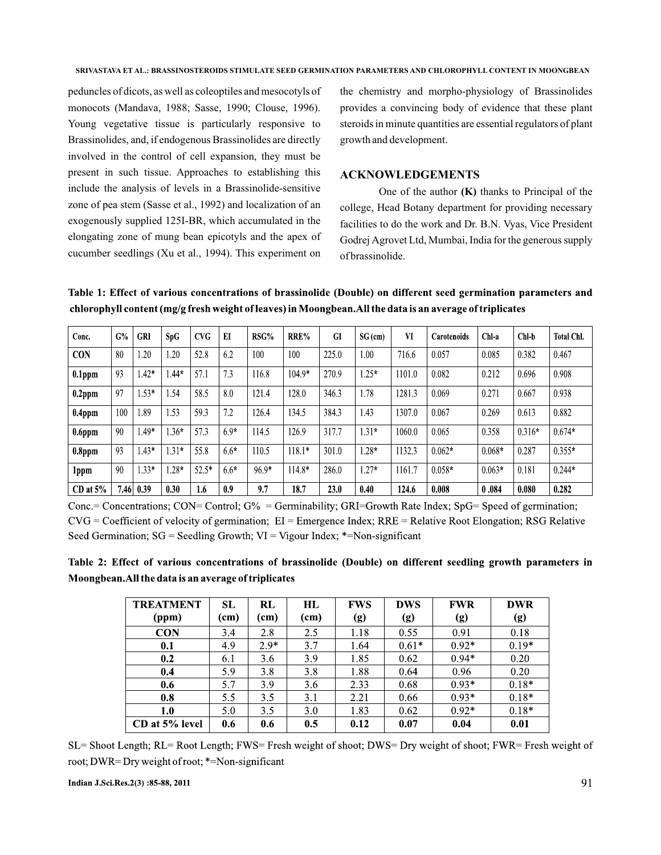peduncles of dicots, as well as coleoptiles and mesocotyls of monocots (Mandava, 1988; Sasse, 1990; Clouse, 1996). Young vegetative tissue is particularly responsive to Brassinolides, and, if endogenous Brassinolides are directly involved in the control of cell expansion, they must be present in such tissue. Approaches to establishing this include the analysis of levels in a Brassinolide-sensitive zone of pea stem (Sasse et al., 1992) and localization of an exogenously supplied 125I-BR, which accumulated in the elongating zone of mung bean epicotyls and the apex of cucumber seedlings (Xu et al., 1994). This experiment on

the chemistry and morpho-physiology of Brassinolides provides a convincing body of evidence that these plant steroids in minute quantities are essential regulators of plant growth and development.

## **ACKNOWLEDGEMENTS**

One of the author  $(K)$  thanks to Principal of the college, Head Botany department for providing necessary facilities to do the work and Dr. B.N. Vyas, Vice President Godrej Agrovet Ltd, Mumbai, India for the generous supply of brassinolide.

Table 1: Effect of various concentrations of brassinolide (Double) on different seed germination parameters and chlorophyll content (mg/g fresh weight of leaves) in Moongbean. All the data is an average of triplicates

| Conc.         | G%   | <b>GRI</b> | SpG     | <b>CVG</b> | EI     | RSG%    | RRE%     | GI    | $SG$ (cm) | VI     | Carotenoids | Chl-a    | Chl-b    | <b>Total Chl.</b> |
|---------------|------|------------|---------|------------|--------|---------|----------|-------|-----------|--------|-------------|----------|----------|-------------------|
| <b>CON</b>    | 80   | .20        | .20     | 52.8       | 6.2    | 100     | 100      | 225.0 | 1.00      | 716.6  | 0.057       | 0.085    | 0.382    | 0.467             |
| $0.1$ ppm     | 93   | $.42*$     | $.44*$  | 57.1       | 73     | 116.8   | $104.9*$ | 270.9 | $1.25*$   | 1101.0 | 0.082       | 0.212    | 0.696    | 0.908             |
| $0.2$ ppm     | 97   | $.53*$     | .54     | 58.5       | 8.0    | 121.4   | 128.0    | 346.3 | 1.78      | 1281.3 | 0.069       | 0.271    | 0.667    | 0.938             |
| $0.4$ ppm     | 100  | .89        | 1.53    | 59.3       | 7.2    | 126.4   | 134.5    | 384.3 | 1.43      | 1307.0 | 0.067       | 0.269    | 0.613    | 0.882             |
| $0.6$ ppm     | 90   | .49*       | $.36*$  | 57.3       | $6.9*$ | 114.5   | 126.9    | 317.7 | $1.31*$   | 1060.0 | 0.065       | 0.358    | $0.316*$ | $0.674*$          |
| $0.8$ ppm     | 93   | $.43*$     | $1.31*$ | 55.8       | $6.6*$ | 110.5   | $118.1*$ | 301.0 | $1.28*$   | 1132.3 | $0.062*$    | $0.068*$ | 0.287    | $0.355*$          |
| 1ppm          | 90   | $.33*$     | $28*$   | $52.5*$    | 6.6*   | $96.9*$ | 114.8*   | 286.0 | $1.27*$   | 1161.7 | $0.058*$    | $0.063*$ | 0.181    | $0.244*$          |
| $CD$ at $5\%$ | 7.46 | 0.39       | 0.30    | 1.6        | 0.9    | 9.7     | 18.7     | 23.0  | 0.40      | 124.6  | 0.008       | 0.084    | 0.080    | 0.282             |

Conc.= Concentrations; CON= Control;  $G\%$  = Germinability; GRI=Growth Rate Index; SpG= Speed of germination;  $CVG = Coefficient$  of velocity of germination;  $EI =$  Emergence Index;  $RRE =$  Relative Root Elongation; RSG Relative Seed Germination;  $SG =$  Seedling Growth;  $VI =$  Vigour Index; \*=Non-significant

Table 2: Effect of various concentrations of brassinolide (Double) on different seedling growth parameters in Moongbean. All the data is an average of triplicates

| <b>TREATMENT</b> | <b>SL</b> | RL     | HL   | FWS  | <b>DWS</b> | <b>FWR</b> | <b>DWR</b> |
|------------------|-----------|--------|------|------|------------|------------|------------|
| (ppm)            | (cm)      | (cm)   | (cm) | (g)  | (g)        | (g)        | (g)        |
| <b>CON</b>       | 3.4       | 2.8    | 2.5  | 1.18 | 0.55       | 0.91       | 0.18       |
| 0.1              | 4.9       | $2.9*$ | 3.7  | 1.64 | $0.61*$    | $0.92*$    | $0.19*$    |
| 0.2              | 6.1       | 3.6    | 3.9  | 1.85 | 0.62       | $0.94*$    | 0.20       |
| 0.4              | 5.9       | 3.8    | 3.8  | 1.88 | 0.64       | 0.96       | 0.20       |
| 0.6              | 5.7       | 3.9    | 3.6  | 2.33 | 0.68       | $0.93*$    | $0.18*$    |
| 0.8              | 5.5       | 3.5    | 3.1  | 2.21 | 0.66       | $0.93*$    | $0.18*$    |
| 1.0              | 5.0       | 3.5    | 3.0  | 1.83 | 0.62       | $0.92*$    | $0.18*$    |
| CD at 5% level   | 0.6       | 0.6    | 0.5  | 0.12 | 0.07       | 0.04       | 0.01       |

SL= Shoot Length; RL= Root Length; FWS= Fresh weight of shoot; DWS= Dry weight of shoot; FWR= Fresh weight of root; DWR=Dry weight of root; \*=Non-significant